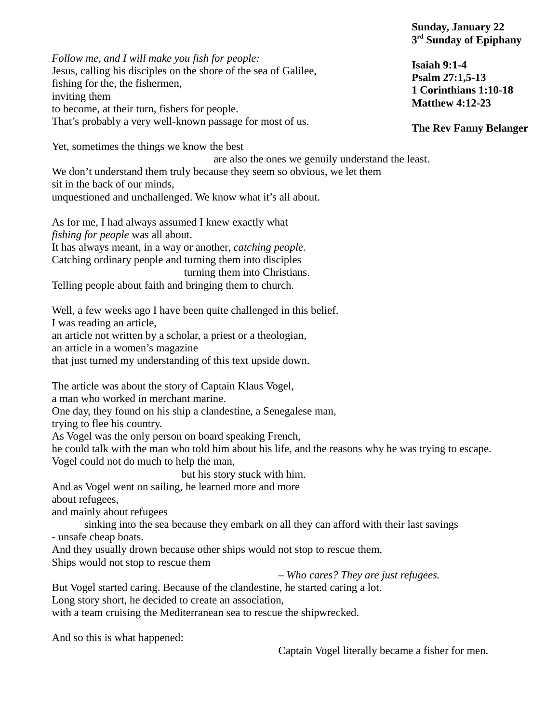## **Sunday, January 22 3 rd Sunday of Epiphany**

**Isaiah 9:1-4 Psalm 27:1,5-13 1 Corinthians 1:10-18 Matthew 4:12-23**

*Follow me, and I will make you fish for people:* Jesus, calling his disciples on the shore of the sea of Galilee, fishing for the, the fishermen, inviting them to become, at their turn, fishers for people. That's probably a very well-known passage for most of us.

**The Rev Fanny Belanger**

Yet, sometimes the things we know the best

are also the ones we genuily understand the least.

We don't understand them truly because they seem so obvious, we let them sit in the back of our minds, unquestioned and unchallenged. We know what it's all about.

As for me, I had always assumed I knew exactly what *fishing for people* was all about. It has always meant, in a way or another, *catching people.* Catching ordinary people and turning them into disciples turning them into Christians.

Telling people about faith and bringing them to church.

Well, a few weeks ago I have been quite challenged in this belief.

I was reading an article,

an article not written by a scholar, a priest or a theologian,

an article in a women's magazine

that just turned my understanding of this text upside down.

The article was about the story of Captain Klaus Vogel,

a man who worked in merchant marine.

One day, they found on his ship a clandestine, a Senegalese man,

trying to flee his country.

As Vogel was the only person on board speaking French,

he could talk with the man who told him about his life, and the reasons why he was trying to escape. Vogel could not do much to help the man,

but his story stuck with him.

And as Vogel went on sailing, he learned more and more

about refugees,

and mainly about refugees

sinking into the sea because they embark on all they can afford with their last savings - unsafe cheap boats.

And they usually drown because other ships would not stop to rescue them.

Ships would not stop to rescue them

– *Who cares? They are just refugees.*

But Vogel started caring. Because of the clandestine, he started caring a lot.

Long story short, he decided to create an association,

with a team cruising the Mediterranean sea to rescue the shipwrecked.

And so this is what happened:

Captain Vogel literally became a fisher for men.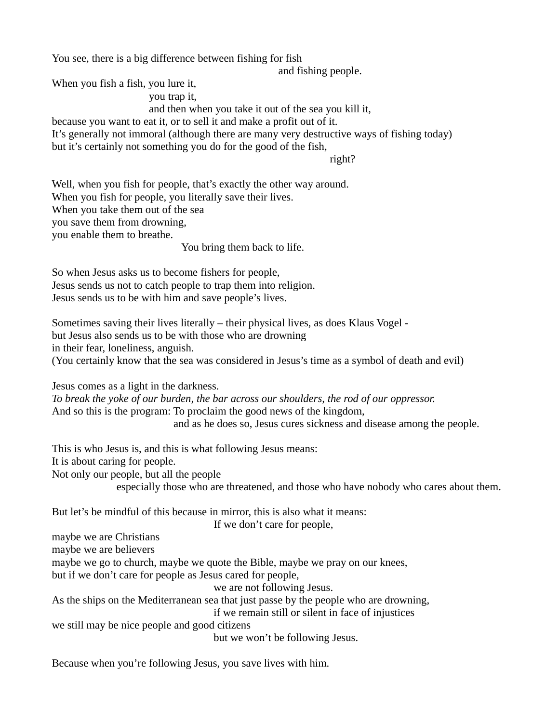You see, there is a big difference between fishing for fish

and fishing people.

When you fish a fish, you lure it,

you trap it,

and then when you take it out of the sea you kill it,

because you want to eat it, or to sell it and make a profit out of it.

It's generally not immoral (although there are many very destructive ways of fishing today) but it's certainly not something you do for the good of the fish,

right?

Well, when you fish for people, that's exactly the other way around. When you fish for people, you literally save their lives. When you take them out of the sea you save them from drowning, you enable them to breathe.

You bring them back to life.

So when Jesus asks us to become fishers for people, Jesus sends us not to catch people to trap them into religion. Jesus sends us to be with him and save people's lives.

Sometimes saving their lives literally – their physical lives, as does Klaus Vogel but Jesus also sends us to be with those who are drowning

in their fear, loneliness, anguish.

(You certainly know that the sea was considered in Jesus's time as a symbol of death and evil)

Jesus comes as a light in the darkness.

*To break the yoke of our burden, the bar across our shoulders, the rod of our oppressor.* And so this is the program: To proclaim the good news of the kingdom,

and as he does so, Jesus cures sickness and disease among the people.

This is who Jesus is, and this is what following Jesus means:

It is about caring for people.

Not only our people, but all the people

especially those who are threatened, and those who have nobody who cares about them.

But let's be mindful of this because in mirror, this is also what it means:

If we don't care for people,

maybe we are Christians maybe we are believers maybe we go to church, maybe we quote the Bible, maybe we pray on our knees, but if we don't care for people as Jesus cared for people, we are not following Jesus.

As the ships on the Mediterranean sea that just passe by the people who are drowning, if we remain still or silent in face of injustices

we still may be nice people and good citizens

but we won't be following Jesus.

Because when you're following Jesus, you save lives with him.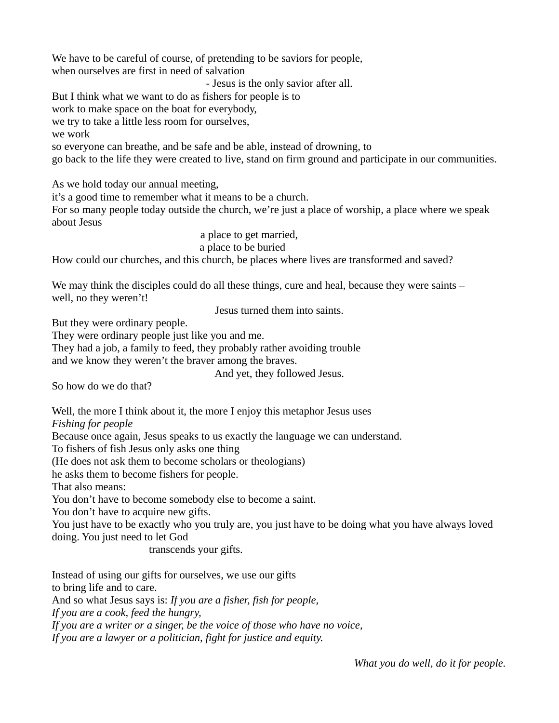We have to be careful of course, of pretending to be saviors for people, when ourselves are first in need of salvation

- Jesus is the only savior after all.

But I think what we want to do as fishers for people is to

work to make space on the boat for everybody,

we try to take a little less room for ourselves,

we work

so everyone can breathe, and be safe and be able, instead of drowning, to

go back to the life they were created to live, stand on firm ground and participate in our communities.

As we hold today our annual meeting,

it's a good time to remember what it means to be a church.

For so many people today outside the church, we're just a place of worship, a place where we speak about Jesus

a place to get married,

a place to be buried

How could our churches, and this church, be places where lives are transformed and saved?

We may think the disciples could do all these things, cure and heal, because they were saints – well, no they weren't!

Jesus turned them into saints.

But they were ordinary people.

They were ordinary people just like you and me.

They had a job, a family to feed, they probably rather avoiding trouble

and we know they weren't the braver among the braves.

And yet, they followed Jesus.

So how do we do that?

Well, the more I think about it, the more I enjoy this metaphor Jesus uses

*Fishing for people*

Because once again, Jesus speaks to us exactly the language we can understand.

To fishers of fish Jesus only asks one thing

(He does not ask them to become scholars or theologians)

he asks them to become fishers for people.

That also means:

You don't have to become somebody else to become a saint.

You don't have to acquire new gifts.

You just have to be exactly who you truly are, you just have to be doing what you have always loved doing. You just need to let God

transcends your gifts.

Instead of using our gifts for ourselves, we use our gifts

to bring life and to care.

And so what Jesus says is: *If you are a fisher, fish for people,*

*If you are a cook, feed the hungry,*

*If you are a writer or a singer, be the voice of those who have no voice,*

*If you are a lawyer or a politician, fight for justice and equity.*

*What you do well, do it for people.*